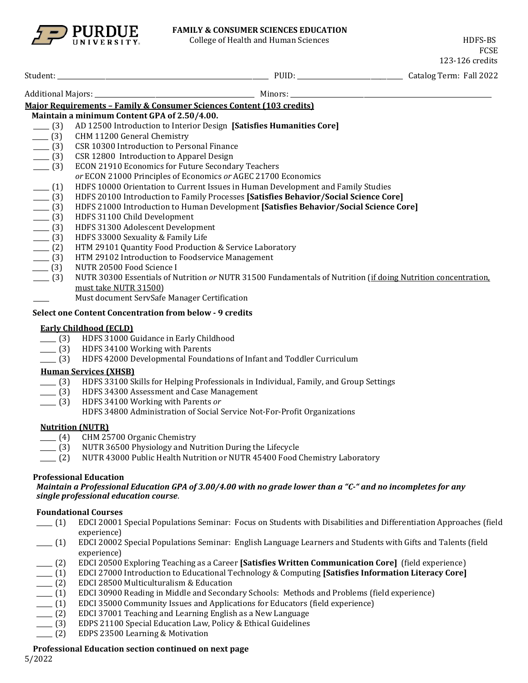

#### **FAMILY & CONSUMER SCIENCES EDUCATION**

College of Health and Human Sciences **H**ollege of Health and Human Sciences

FCSE 123-126 credits

| Student:                                                              | PUID.   | Catalog Term: Fall 2022 |
|-----------------------------------------------------------------------|---------|-------------------------|
| <b>Additional Majors:</b>                                             | Minors: |                         |
| Maior Requirements – Family & Consumer Sciences Content (103 credits) |         |                         |

**Maintain a minimum Content GPA of 2.50/4.00.**

- \_\_\_\_\_ (3) AD 12500 Introduction to Interior Design **[Satisfies Humanities Core]**
- \_\_\_\_ (3) CHM 11200 General Chemistry<br>\_\_\_\_ (3) CSR 10300 Introduction to Pers
- \_\_\_\_ (3) CSR 10300 Introduction to Personal Finance<br>
\_\_\_ (3) CSR 12800 Introduction to Apparel Design
- \_\_\_\_ (3) CSR 12800 Introduction to Apparel Design<br>\_\_\_\_ (3) ECON 21910 Economics for Future Seconda
- ECON 21910 Economics for Future Secondary Teachers
- *or* ECON 21000 Principles of Economics *or* AGEC 21700 Economics
- \_\_\_\_\_ (1) HDFS 10000 Orientation to Current Issues in Human Development and Family Studies
- \_\_\_\_\_ (3) HDFS 20100 Introduction to Family Processes **[Satisfies Behavior/Social Science Core]**
- \_\_\_\_\_ (3) HDFS 21000 Introduction to Human Development **[Satisfies Behavior/Social Science Core]**
- 
- \_\_\_\_\_ (3) HDFS 31100 Child Development
- \_\_\_\_\_ (3) HDFS 31300 Adolescent Development \_\_\_ (3) HDFS 33000 Sexuality & Family Life<br>\_\_ (2) HTM 29101 Quantity Food Production
- 
- \_\_\_ (2) HTM 29101 Quantity Food Production & Service Laboratory<br>\_\_ (3) HTM 29102 Introduction to Foodservice Management \_\_\_\_ (3) HTM 29102 Introduction to Foodservice Management<br>\_\_\_ (3) NUTR 20500 Food Science I
- NUTR 20500 Food Science I
- \_\_\_\_\_ (3) NUTR 30300 Essentials of Nutrition *or* NUTR 31500 Fundamentals of Nutrition (if doing Nutrition concentration, must take NUTR 31500)
- Must document ServSafe Manager Certification

#### **Select one Content Concentration from below - 9 credits**

#### **Early Childhood (ECLD)**

- \_\_\_\_ (3) HDFS 31000 Guidance in Early Childhood<br>\_\_\_\_ (3) HDFS 34100 Working with Parents
- \_\_\_\_ (3) HDFS 34100 Working with Parents<br>\_\_\_\_ (3) HDFS 42000 Developmental Found:
- HDFS 42000 Developmental Foundations of Infant and Toddler Curriculum

### **Human Services (XHSB)**

- \_\_\_\_\_ (3) HDFS 33100 Skills for Helping Professionals in Individual, Family, and Group Settings
- \_\_\_\_ (3) HDFS 34300 Assessment and Case Management \_\_\_\_ (3) HDFS 34100 Working with Parents *or*
- \_\_\_\_\_ (3) HDFS 34100 Working with Parents *or*
	- HDFS 34800 Administration of Social Service Not-For-Profit Organizations

### **Nutrition (NUTR)**

- 
- \_\_\_\_ (4) CHM 25700 Organic Chemistry<br>\_\_\_ (3) NUTR 36500 Physiology and Nu \_\_\_\_ (3) NUTR 36500 Physiology and Nutrition During the Lifecycle<br>(2) NUTR 43000 Public Health Nutrition or NUTR 45400 Food (
- \_\_\_\_\_ (2) NUTR 43000 Public Health Nutrition or NUTR 45400 Food Chemistry Laboratory

### **Professional Education**

*Maintain a Professional Education GPA of 3.00/4.00 with no grade lower than a "C-" and no incompletes for any single professional education course*.

### **Foundational Courses**

- \_\_\_\_\_ (1) EDCI 20001 Special Populations Seminar: Focus on Students with Disabilities and Differentiation Approaches (field experience)
- \_\_\_\_\_ (1) EDCI 20002 Special Populations Seminar: English Language Learners and Students with Gifts and Talents (field experience)
- 
- \_\_\_\_\_ (2) EDCI 20500 Exploring Teaching as a Career **[Satisfies Written Communication Core]** (field experience) \_\_\_\_\_ (1) EDCI 27000 Introduction to Educational Technology & Computing **[Satisfies Information Literacy Core]**
- 
- \_\_\_\_ (2) EDCI 28500 Multiculturalism & Education<br>\_\_\_\_ (1) EDCI 30900 Reading in Middle and Second \_\_\_\_\_ (1) EDCI 30900 Reading in Middle and Secondary Schools: Methods and Problems (field experience)
- \_\_\_\_\_ (1) EDCI 35000 Community Issues and Applications for Educators (field experience)
- \_\_\_\_\_ (2) EDCI 37001 Teaching and Learning English as a New Language
- \_\_\_ (3) EDPS 21100 Special Education Law, Policy & Ethical Guidelines <br>\_\_\_ (2) EDPS 23500 Learning & Motivation
- EDPS 23500 Learning & Motivation

### **Professional Education section continued on next page**

5/2022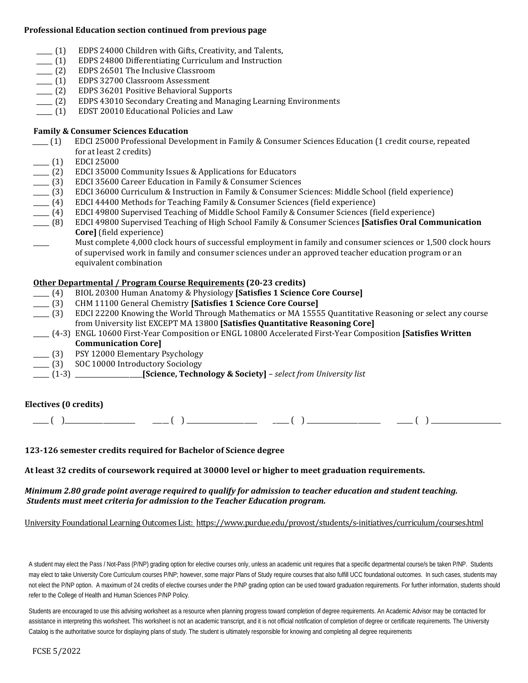#### **Professional Education section continued from previous page**

- \_\_\_\_ (1) EDPS 24000 Children with Gifts, Creativity, and Talents,<br>\_\_\_\_ (1) EDPS 24800 Differentiating Curriculum and Instruction
- \_\_\_\_\_ (1) EDPS 24800 Differentiating Curriculum and Instruction \_\_\_\_\_ (2) EDPS 26501 The Inclusive Classroom
- \_\_\_\_ (2) EDPS 26501 The Inclusive Classroom<br>\_\_\_\_ (1) EDPS 32700 Classroom Assessment
- \_\_\_\_ (1) EDPS 32700 Classroom Assessment<br>\_\_\_\_ (2) EDPS 36201 Positive Behavioral Sup
- \_\_\_\_ (2) EDPS 36201 Positive Behavioral Supports<br>\_\_\_\_ (2) EDPS 43010 Secondary Creating and Mana
- \_\_\_\_\_ (2) EDPS 43010 Secondary Creating and Managing Learning Environments
- EDST 20010 Educational Policies and Law

# **Family & Consumer Sciences Education**

- \_\_\_\_\_ (1) EDCI 25000 Professional Development in Family & Consumer Sciences Education (1 credit course, repeated for at least 2 credits)
- 
- \_\_\_\_\_ (1) EDCI 25000<br>\_\_\_\_ (2) EDCI 35000
- \_\_\_\_\_ (2) EDCI 35000 Community Issues & Applications for Educators
- \_\_\_\_\_ (3) EDCI 35600 Career Education in Family & Consumer Sciences \_\_\_\_\_ (3) EDCI 36000 Curriculum & Instruction in Family & Consumer Sciences: Middle School (field experience)
- 
- \_\_\_\_ (4) EDCI 44400 Methods for Teaching Family & Consumer Sciences (field experience)<br>\_\_\_\_ (4) EDCI 49800 Supervised Teaching of Middle School Family & Consumer Sciences (fi
- \_\_\_\_ (4) EDCI 49800 Supervised Teaching of Middle School Family & Consumer Sciences (field experience)<br>\_\_\_\_ (8) EDCI 49800 Supervised Teaching of High School Family & Consumer Sciences **[Satisfies Oral Com**i \_\_\_\_\_ (8) EDCI 49800 Supervised Teaching of High School Family & Consumer Sciences **[Satisfies Oral Communication Core]** (field experience)

Must complete 4,000 clock hours of successful employment in family and consumer sciences or 1,500 clock hours of supervised work in family and consumer sciences under an approved teacher education program or an equivalent combination

# **Other Departmental / Program Course Requirements (20-23 credits)**

- \_\_\_\_\_ (4) BIOL 20300 Human Anatomy & Physiology **[Satisfies 1 Science Core Course]**
- \_\_\_\_\_ (3) CHM 11100 General Chemistry **[Satisfies 1 Science Core Course]**
- \_\_\_\_\_ (3) EDCI 22200 Knowing the World Through Mathematics or MA 15555 Quantitative Reasoning or *s*elect any course from University list EXCEPT MA 13800 **[Satisfies Quantitative Reasoning Core]**
- \_\_\_\_\_ (4-3) ENGL 10600 First-Year Composition or ENGL 10800 Accelerated First-Year Composition **[Satisfies Written Communication Core]**
- \_\_\_\_\_ (3) PSY 12000 Elementary Psychology
- \_\_\_\_\_ (3) SOC 10000 Introductory Sociology
- \_\_\_\_\_ (1-3) \_\_\_\_\_\_\_\_\_\_\_\_\_\_\_\_\_\_\_\_\_**[Science, Technology & Society]**  *select from University list*

# **Electives (0 credits)**

 $\frac{1}{\sqrt{2}}$  ( )  $\frac{1}{\sqrt{2}}$  ( )  $\frac{1}{\sqrt{2}}$  ( )  $\frac{1}{\sqrt{2}}$  ( )  $\frac{1}{\sqrt{2}}$  ( )  $\frac{1}{\sqrt{2}}$ 

**123-126 semester credits required for Bachelor of Science degree**

**At least 32 credits of coursework required at 30000 level or higher to meet graduation requirements.**

## *Minimum 2.80 grade point average required to qualify for admission to teacher education and student teaching. Students must meet criteria for admission to the Teacher Education program.*

University Foundational Learning Outcomes List:<https://www.purdue.edu/provost/students/s-initiatives/curriculum/courses.html>

A student may elect the Pass / Not-Pass (P/NP) grading option for elective courses only, unless an academic unit requires that a specific departmental course/s be taken P/NP. Students may elect to take University Core Curriculum courses P/NP; however, some major Plans of Study require courses that also fulfill UCC foundational outcomes. In such cases, students may not elect the P/NP option. A maximum of 24 credits of elective courses under the P/NP grading option can be used toward graduation requirements. For further information, students should refer to the College of Health and Human Sciences P/NP Policy.

Students are encouraged to use this advising worksheet as a resource when planning progress toward completion of degree requirements. An Academic Advisor may be contacted for assistance in interpreting this worksheet. This worksheet is not an academic transcript, and it is not official notification of completion of degree or certificate requirements. The University Catalog is the authoritative source for displaying plans of study. The student is ultimately responsible for knowing and completing all degree requirements